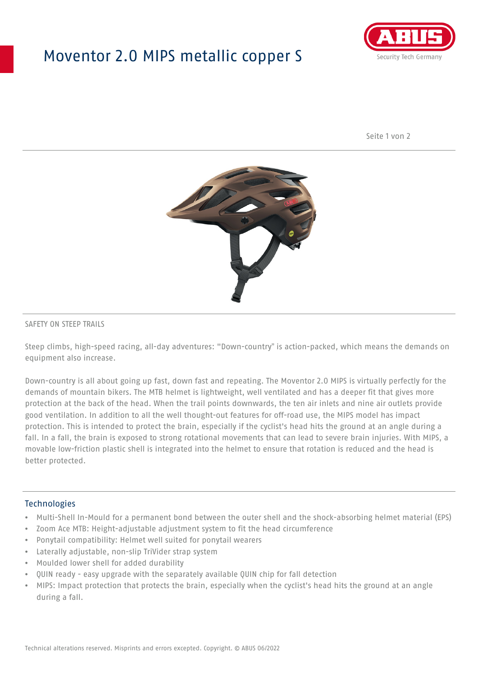## Moventor 2.0 MIPS metallic copper S



Seite 1 von 2



#### SAFETY ON STEEP TRAILS

Steep climbs, high-speed racing, all-day adventures: "Down-country" is action-packed, which means the demands on equipment also increase.

Down-country is all about going up fast, down fast and repeating. The Moventor 2.0 MIPS is virtually perfectly for the demands of mountain bikers. The MTB helmet is lightweight, well ventilated and has a deeper fit that gives more protection at the back of the head. When the trail points downwards, the ten air inlets and nine air outlets provide good ventilation. In addition to all the well thought-out features for off-road use, the MIPS model has impact protection. This is intended to protect the brain, especially if the cyclist's head hits the ground at an angle during a fall. In a fall, the brain is exposed to strong rotational movements that can lead to severe brain injuries. With MIPS, a movable low-friction plastic shell is integrated into the helmet to ensure that rotation is reduced and the head is better protected.

#### Technologies

- Multi-Shell In-Mould for a permanent bond between the outer shell and the shock-absorbing helmet material (EPS)
- Zoom Ace MTB: Height-adjustable adjustment system to fit the head circumference
- Ponytail compatibility: Helmet well suited for ponytail wearers
- Laterally adjustable, non-slip TriVider strap system
- Moulded lower shell for added durability
- QUIN ready easy upgrade with the separately available QUIN chip for fall detection
- MIPS: Impact protection that protects the brain, especially when the cyclist's head hits the ground at an angle during a fall.